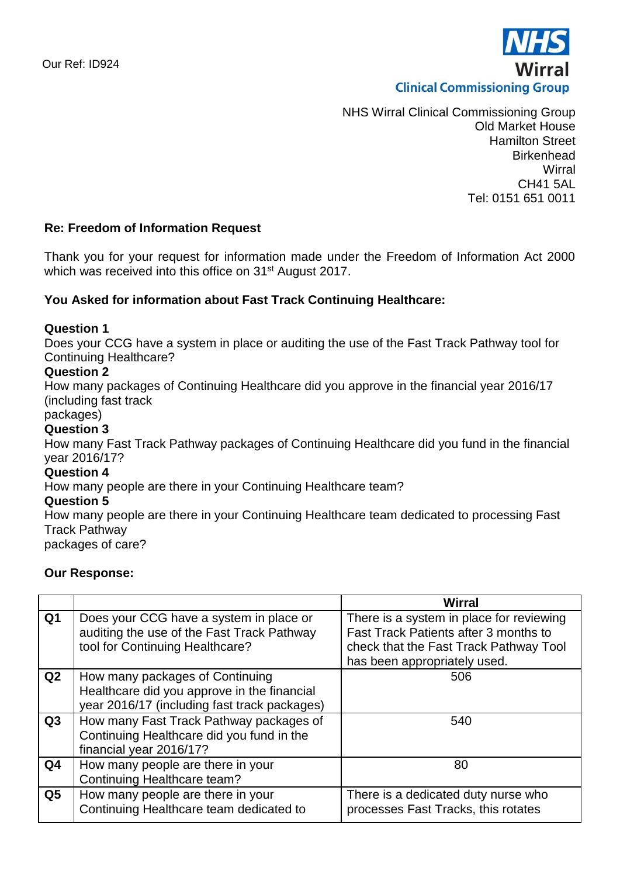

NHS Wirral Clinical Commissioning Group Old Market House Hamilton Street **Birkenhead Wirral** CH41 5AL Tel: 0151 651 0011

# **Re: Freedom of Information Request**

Thank you for your request for information made under the Freedom of Information Act 2000 which was received into this office on 31<sup>st</sup> August 2017.

## **You Asked for information about Fast Track Continuing Healthcare:**

## **Question 1**

Does your CCG have a system in place or auditing the use of the Fast Track Pathway tool for Continuing Healthcare?

## **Question 2**

How many packages of Continuing Healthcare did you approve in the financial year 2016/17 (including fast track

packages)

# **Question 3**

How many Fast Track Pathway packages of Continuing Healthcare did you fund in the financial year 2016/17?

#### **Question 4**

How many people are there in your Continuing Healthcare team?

## **Question 5**

How many people are there in your Continuing Healthcare team dedicated to processing Fast Track Pathway packages of care?

#### **Our Response:**

|                |                                                                                                                                | <b>Wirral</b>                                                                                                                                               |
|----------------|--------------------------------------------------------------------------------------------------------------------------------|-------------------------------------------------------------------------------------------------------------------------------------------------------------|
| Q <sub>1</sub> | Does your CCG have a system in place or<br>auditing the use of the Fast Track Pathway<br>tool for Continuing Healthcare?       | There is a system in place for reviewing<br>Fast Track Patients after 3 months to<br>check that the Fast Track Pathway Tool<br>has been appropriately used. |
| Q2             | How many packages of Continuing<br>Healthcare did you approve in the financial<br>year 2016/17 (including fast track packages) | 506                                                                                                                                                         |
| Q3             | How many Fast Track Pathway packages of<br>Continuing Healthcare did you fund in the<br>financial year 2016/17?                | 540                                                                                                                                                         |
| Q <sub>4</sub> | How many people are there in your<br>Continuing Healthcare team?                                                               | 80                                                                                                                                                          |
| Q5             | How many people are there in your<br>Continuing Healthcare team dedicated to                                                   | There is a dedicated duty nurse who<br>processes Fast Tracks, this rotates                                                                                  |